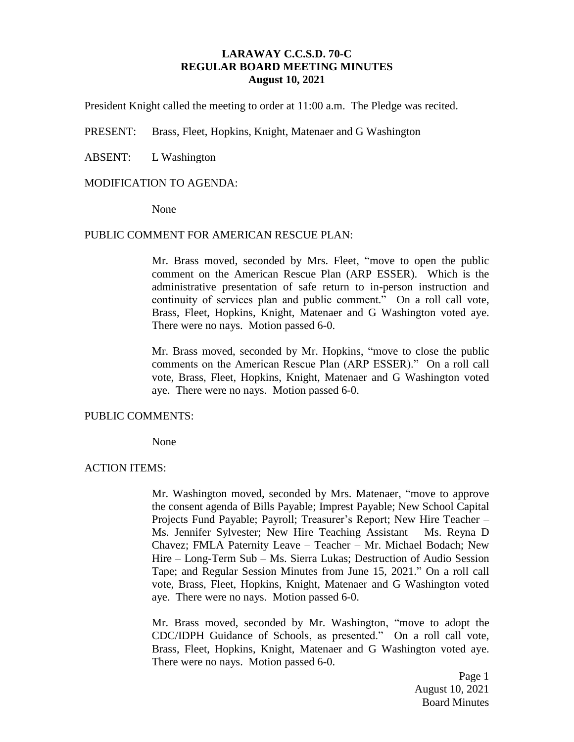## **LARAWAY C.C.S.D. 70-C REGULAR BOARD MEETING MINUTES August 10, 2021**

President Knight called the meeting to order at 11:00 a.m. The Pledge was recited.

PRESENT: Brass, Fleet, Hopkins, Knight, Matenaer and G Washington

ABSENT: L Washington

### MODIFICATION TO AGENDA:

None

### PUBLIC COMMENT FOR AMERICAN RESCUE PLAN:

Mr. Brass moved, seconded by Mrs. Fleet, "move to open the public comment on the American Rescue Plan (ARP ESSER). Which is the administrative presentation of safe return to in-person instruction and continuity of services plan and public comment." On a roll call vote, Brass, Fleet, Hopkins, Knight, Matenaer and G Washington voted aye. There were no nays. Motion passed 6-0.

Mr. Brass moved, seconded by Mr. Hopkins, "move to close the public comments on the American Rescue Plan (ARP ESSER)." On a roll call vote, Brass, Fleet, Hopkins, Knight, Matenaer and G Washington voted aye. There were no nays. Motion passed 6-0.

#### PUBLIC COMMENTS:

None

### ACTION ITEMS:

Mr. Washington moved, seconded by Mrs. Matenaer, "move to approve the consent agenda of Bills Payable; Imprest Payable; New School Capital Projects Fund Payable; Payroll; Treasurer's Report; New Hire Teacher – Ms. Jennifer Sylvester; New Hire Teaching Assistant – Ms. Reyna D Chavez; FMLA Paternity Leave – Teacher – Mr. Michael Bodach; New Hire – Long-Term Sub – Ms. Sierra Lukas; Destruction of Audio Session Tape; and Regular Session Minutes from June 15, 2021." On a roll call vote, Brass, Fleet, Hopkins, Knight, Matenaer and G Washington voted aye. There were no nays. Motion passed 6-0.

Mr. Brass moved, seconded by Mr. Washington, "move to adopt the CDC/IDPH Guidance of Schools, as presented." On a roll call vote, Brass, Fleet, Hopkins, Knight, Matenaer and G Washington voted aye. There were no nays. Motion passed 6-0.

> Page 1 August 10, 2021 Board Minutes